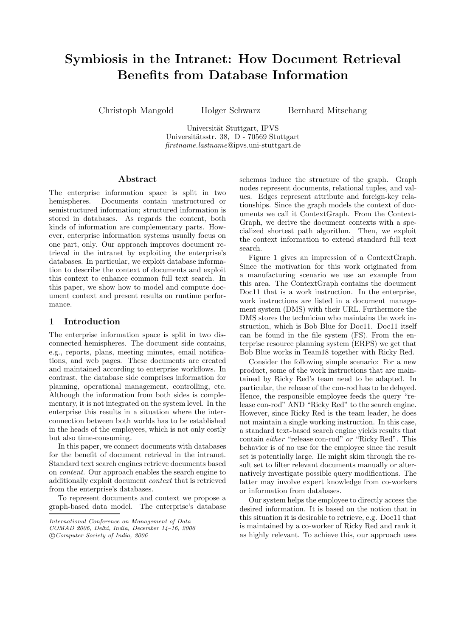# Symbiosis in the Intranet: How Document Retrieval Benefits from Database Information

Christoph Mangold Holger Schwarz Bernhard Mitschang

Universität Stuttgart, IPVS Universitätsstr. 38, D - 70569 Stuttgart firstname.lastname@ipvs.uni-stuttgart.de

## Abstract

The enterprise information space is split in two hemispheres. Documents contain unstructured or semistructured information; structured information is stored in databases. As regards the content, both kinds of information are complementary parts. However, enterprise information systems usually focus on one part, only. Our approach improves document retrieval in the intranet by exploiting the enterprise's databases. In particular, we exploit database information to describe the context of documents and exploit this context to enhance common full text search. In this paper, we show how to model and compute document context and present results on runtime performance.

## 1 Introduction

The enterprise information space is split in two disconnected hemispheres. The document side contains, e.g., reports, plans, meeting minutes, email notifications, and web pages. These documents are created and maintained according to enterprise workflows. In contrast, the database side comprises information for planning, operational management, controlling, etc. Although the information from both sides is complementary, it is not integrated on the system level. In the enterprise this results in a situation where the interconnection between both worlds has to be established in the heads of the employees, which is not only costly but also time-consuming.

In this paper, we connect documents with databases for the benefit of document retrieval in the intranet. Standard text search engines retrieve documents based on content. Our approach enables the search engine to additionally exploit document context that is retrieved from the enterprise's databases.

To represent documents and context we propose a graph-based data model. The enterprise's database

schemas induce the structure of the graph. Graph nodes represent documents, relational tuples, and values. Edges represent attribute and foreign-key relationships. Since the graph models the context of documents we call it ContextGraph. From the Context-Graph, we derive the document contexts with a specialized shortest path algorithm. Then, we exploit the context information to extend standard full text search.

Figure 1 gives an impression of a ContextGraph. Since the motivation for this work originated from a manufacturing scenario we use an example from this area. The ContextGraph contains the document Doc11 that is a work instruction. In the enterprise, work instructions are listed in a document management system (DMS) with their URL. Furthermore the DMS stores the technician who maintains the work instruction, which is Bob Blue for Doc11. Doc11 itself can be found in the file system (FS). From the enterprise resource planning system (ERPS) we get that Bob Blue works in Team18 together with Ricky Red.

Consider the following simple scenario: For a new product, some of the work instructions that are maintained by Ricky Red's team need to be adapted. In particular, the release of the con-rod has to be delayed. Hence, the responsible employee feeds the query "release con-rod" AND "Ricky Red" to the search engine. However, since Ricky Red is the team leader, he does not maintain a single working instruction. In this case, a standard text-based search engine yields results that contain either "release con-rod" or "Ricky Red". This behavior is of no use for the employee since the result set is potentially large. He might skim through the result set to filter relevant documents manually or alternatively investigate possible query modifications. The latter may involve expert knowledge from co-workers or information from databases.

Our system helps the employee to directly access the desired information. It is based on the notion that in this situation it is desirable to retrieve, e.g. Doc11 that is maintained by a co-worker of Ricky Red and rank it as highly relevant. To achieve this, our approach uses

International Conference on Management of Data COMAD 2006, Delhi, India, December 14–16, 2006

c Computer Society of India, 2006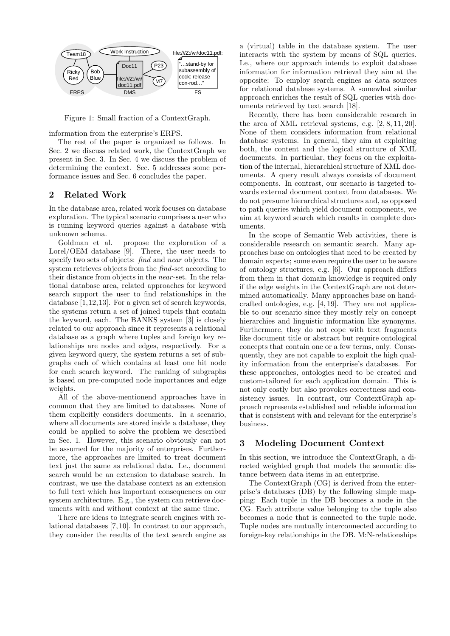

Figure 1: Small fraction of a ContextGraph.

information from the enterprise's ERPS.

The rest of the paper is organized as follows. In Sec. 2 we discuss related work, the ContextGraph we present in Sec. 3. In Sec. 4 we discuss the problem of determining the context. Sec. 5 addresses some performance issues and Sec. 6 concludes the paper.

# 2 Related Work

In the database area, related work focuses on database exploration. The typical scenario comprises a user who is running keyword queries against a database with unknown schema.

Goldman et al. propose the exploration of a Lorel/OEM database [9]. There, the user needs to specify two sets of objects: find and near objects. The system retrieves objects from the find-set according to their distance from objects in the near -set. In the relational database area, related approaches for keyword search support the user to find relationships in the database [1,12,13]. For a given set of search keywords, the systems return a set of joined tupels that contain the keyword, each. The BANKS system [3] is closely related to our approach since it represents a relational database as a graph where tuples and foreign key relationships are nodes and edges, respectively. For a given keyword query, the system returns a set of subgraphs each of which contains at least one hit node for each search keyword. The ranking of subgraphs is based on pre-computed node importances and edge weights.

All of the above-mentionend approaches have in common that they are limited to databases. None of them explicitly considers documents. In a scenario, where all documents are stored inside a database, they could be applied to solve the problem we described in Sec. 1. However, this scenario obviously can not be assumed for the majority of enterprises. Furthermore, the approaches are limited to treat document text just the same as relational data. I.e., document search would be an extension to database search. In contrast, we use the database context as an extension to full text which has important consequences on our system architecture. E.g., the system can retrieve documents with and without context at the same time.

There are ideas to integrate search engines with relational databases [7,10]. In contrast to our approach, they consider the results of the text search engine as

a (virtual) table in the database system. The user interacts with the system by means of SQL queries. I.e., where our approach intends to exploit database information for information retrieval they aim at the opposite: To employ search engines as data sources for relational database systems. A somewhat similar approach enriches the result of SQL queries with documents retrieved by text search [18].

Recently, there has been considerable research in the area of XML retrieval systems, e.g. [2, 8, 11, 20]. None of them considers information from relational database systems. In general, they aim at exploiting both, the content and the logical structure of XML documents. In particular, they focus on the exploitation of the internal, hierarchical structure of XML documents. A query result always consists of document components. In contrast, our scenario is targeted towards external document context from databases. We do not presume hierarchical structures and, as opposed to path queries which yield document components, we aim at keyword search which results in complete documents.

In the scope of Semantic Web activities, there is considerable research on semantic search. Many approaches base on ontologies that need to be created by domain experts; some even require the user to be aware of ontology structures, e.g. [6]. Our approach differs from them in that domain knowledge is required only if the edge weights in the ContextGraph are not determined automatically. Many approaches base on handcrafted ontologies, e.g. [4, 19]. They are not applicable to our scenario since they mostly rely on concept hierarchies and linguistic information like synonyms. Furthermore, they do not cope with text fragments like document title or abstract but require ontological concepts that contain one or a few terms, only. Consequently, they are not capable to exploit the high quality information from the enterprise's databases. For these approaches, ontologies need to be created and custom-tailored for each application domain. This is not only costly but also provokes correctness and consistency issues. In contrast, our ContextGraph approach represents established and reliable information that is consistent with and relevant for the enterprise's business.

## 3 Modeling Document Context

In this section, we introduce the ContextGraph, a directed weighted graph that models the semantic distance between data items in an enterprise.

The ContextGraph (CG) is derived from the enterprise's databases (DB) by the following simple mapping: Each tuple in the DB becomes a node in the CG. Each attribute value belonging to the tuple also becomes a node that is connected to the tuple node. Tuple nodes are mutually interconnected according to foreign-key relationships in the DB. M:N-relationships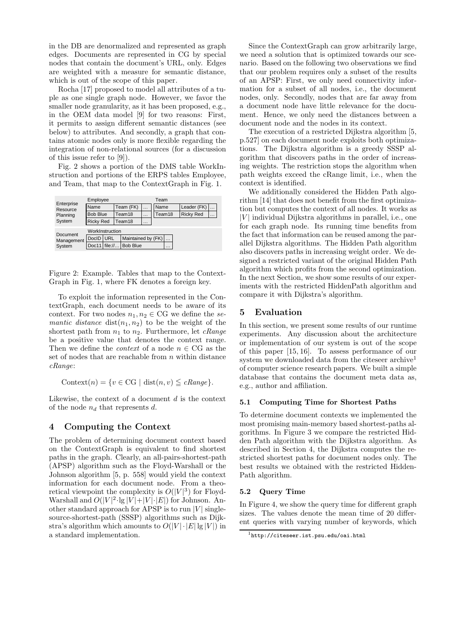in the DB are denormalized and represented as graph edges. Documents are represented in CG by special nodes that contain the document's URL, only. Edges are weighted with a measure for semantic distance, which is out of the scope of this paper.

Rocha [17] proposed to model all attributes of a tuple as one single graph node. However, we favor the smaller node granularity, as it has been proposed, e.g., in the OEM data model [9] for two reasons: First, it permits to assign different semantic distances (see below) to attributes. And secondly, a graph that contains atomic nodes only is more flexible regarding the integration of non-relational sources (for a discussion of this issue refer to [9]).

Fig. 2 shows a portion of the DMS table WorkInstruction and portions of the ERPS tables Employee, and Team, that map to the ContextGraph in Fig. 1.

| Employee         |     |       |                             |                              | Team     |                    |             |                  |  |
|------------------|-----|-------|-----------------------------|------------------------------|----------|--------------------|-------------|------------------|--|
| Name             |     |       | $\cdots$                    |                              | Name     |                    | Leader (FK) |                  |  |
| <b>Bob Blue</b>  |     |       | $\cdots$                    |                              | Team18   |                    |             | $\cdots$         |  |
| <b>Ricky Red</b> |     |       | $\cdots$                    |                              |          |                    |             |                  |  |
| WorkInstruction  |     |       |                             |                              |          |                    |             |                  |  |
|                  | URL |       |                             |                              |          | $\cdots$           |             |                  |  |
| Doc11            |     |       |                             |                              | $\cdots$ |                    |             |                  |  |
|                  |     | DocID | Team18<br>Team18<br>file:// | Team (FK)<br><b>Bob Blue</b> |          | Maintained by (FK) |             | <b>Ricky Red</b> |  |

Figure 2: Example. Tables that map to the Context-Graph in Fig. 1, where FK denotes a foreign key.

To exploit the information represented in the ContextGraph, each document needs to be aware of its context. For two nodes  $n_1, n_2 \in \mathbb{C}$ G we define the semantic distance  $dist(n_1, n_2)$  to be the weight of the shortest path from  $n_1$  to  $n_2$ . Furthermore, let *cRange* be a positive value that denotes the context range. Then we define the *context* of a node  $n \in \text{CG}$  as the set of nodes that are reachable from  $n$  within distance cRange:

Context(n) = { $v \in \text{CG} \mid \text{dist}(n, v) \leq \text{change}$  }.

Likewise, the context of a document  $d$  is the context of the node  $n_d$  that represents d.

## 4 Computing the Context

The problem of determining document context based on the ContextGraph is equivalent to find shortest paths in the graph. Clearly, an all-pairs-shortest-path (APSP) algorithm such as the Floyd-Warshall or the Johnson algorithm [5, p. 558] would yield the context information for each document node. From a theoretical viewpoint the complexity is  $O(|V|^3)$  for Floyd-Warshall and  $O(|V|^2 \cdot \lg |V| + |V| \cdot |E|)$  for Johnson. Another standard approach for APSP is to run  $|V|$  singlesource-shortest-path (SSSP) algorithms such as Dijkstra's algorithm which amounts to  $O(|V| \cdot |E| \lg |V|)$  in a standard implementation.

Since the ContextGraph can grow arbitrarily large, we need a solution that is optimized towards our scenario. Based on the following two observations we find that our problem requires only a subset of the results of an APSP: First, we only need connectivity information for a subset of all nodes, i.e., the document nodes, only. Secondly, nodes that are far away from a document node have little relevance for the document. Hence, we only need the distances between a document node and the nodes in its context.

The execution of a restricted Dijkstra algorithm [5, p.527] on each document node exploits both optimizations. The Dijkstra algorithm is a greedy SSSP algorithm that discovers paths in the order of increasing weights. The restriction stops the algorithm when path weights exceed the cRange limit, i.e., when the context is identified.

We additionally considered the Hidden Path algorithm [14] that does not benefit from the first optimization but computes the context of all nodes. It works as  $|V|$  individual Dijkstra algorithms in parallel, i.e., one for each graph node. Its running time benefits from the fact that information can be reused among the parallel Dijkstra algorithms. The Hidden Path algorithm also discovers paths in increasing weight order. We designed a restricted variant of the original Hidden Path algorithm which profits from the second optimization. In the next Section, we show some results of our experiments with the restricted HiddenPath algorithm and compare it with Dijkstra's algorithm.

# 5 Evaluation

In this section, we present some results of our runtime experiments. Any discussion about the architecture or implementation of our system is out of the scope of this paper [15, 16]. To assess performance of our system we downloaded data from the citeseer  $\rm{archive}^1$ of computer science research papers. We built a simple database that contains the document meta data as, e.g., author and affiliation.

## 5.1 Computing Time for Shortest Paths

To determine document contexts we implemented the most promising main-memory based shortest-paths algorithms. In Figure 3 we compare the restricted Hidden Path algorithm with the Dijkstra algorithm. As described in Section 4, the Dijkstra computes the restricted shortest paths for document nodes only. The best results we obtained with the restricted Hidden-Path algorithm.

## 5.2 Query Time

In Figure 4, we show the query time for different graph sizes. The values denote the mean time of 20 different queries with varying number of keywords, which

<sup>1</sup>http://citeseer.ist.psu.edu/oai.html